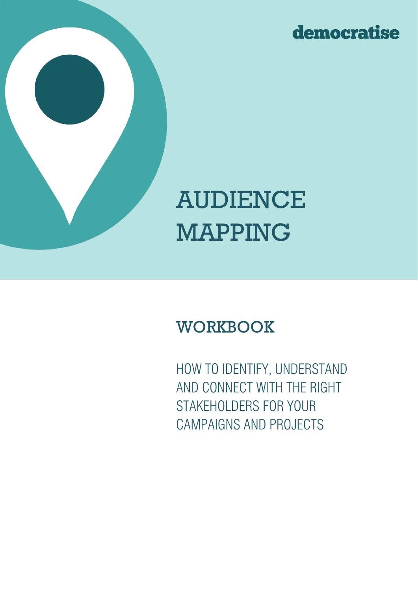



# AUDIENCE MAPPING

## **WORKBOOK**

HOW TO IDENTIFY, UNDERSTAND AND CONNECT WITH THE RIGHT STAKEHOLDERS FOR YOUR CAMPAIGNS AND PROJECTS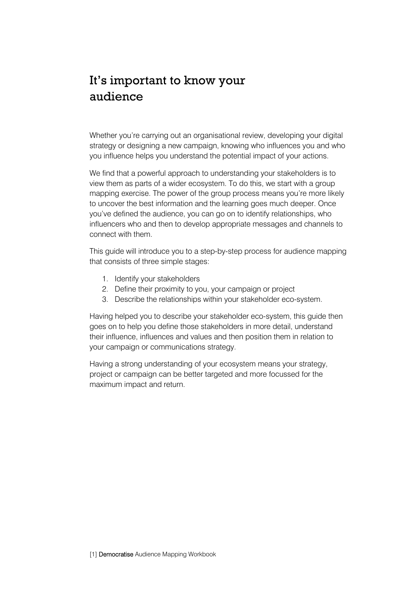#### It's important to know your audience

Whether you're carrying out an organisational review, developing your digital strategy or designing a new campaign, knowing who influences you and who you influence helps you understand the potential impact of your actions.

We find that a powerful approach to understanding your stakeholders is to view them as parts of a wider ecosystem. To do this, we start with a group mapping exercise. The power of the group process means you're more likely to uncover the best information and the learning goes much deeper. Once you've defined the audience, you can go on to identify relationships, who influencers who and then to develop appropriate messages and channels to connect with them.

This guide will introduce you to a step-by-step process for audience mapping that consists of three simple stages:

- 1. Identify your stakeholders
- 2. Define their proximity to you, your campaign or project
- 3. Describe the relationships within your stakeholder eco-system.

Having helped you to describe your stakeholder eco-system, this guide then goes on to help you define those stakeholders in more detail, understand their influence, influences and values and then position them in relation to your campaign or communications strategy.

Having a strong understanding of your ecosystem means your strategy, project or campaign can be better targeted and more focussed for the maximum impact and return.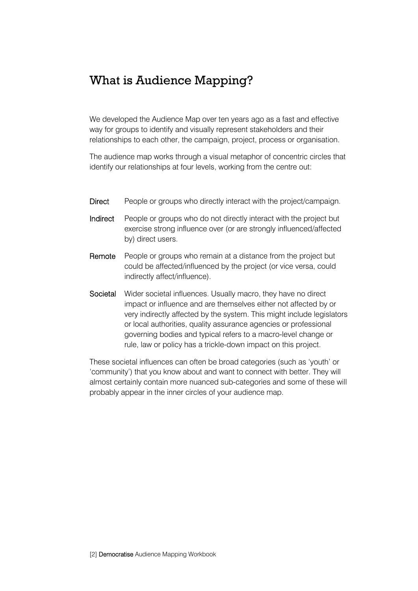#### What is Audience Mapping?

We developed the Audience Map over ten years ago as a fast and effective way for groups to identify and visually represent stakeholders and their relationships to each other, the campaign, project, process or organisation.

The audience map works through a visual metaphor of concentric circles that identify our relationships at four levels, working from the centre out:

- Direct People or groups who directly interact with the project/campaign.
- Indirect People or groups who do not directly interact with the project but exercise strong influence over (or are strongly influenced/affected by) direct users.
- Remote People or groups who remain at a distance from the project but could be affected/influenced by the project (or vice versa, could indirectly affect/influence).
- Societal Wider societal influences. Usually macro, they have no direct impact or influence and are themselves either not affected by or very indirectly affected by the system. This might include legislators or local authorities, quality assurance agencies or professional governing bodies and typical refers to a macro-level change or rule, law or policy has a trickle-down impact on this project.

These societal influences can often be broad categories (such as 'youth' or 'community') that you know about and want to connect with better. They will almost certainly contain more nuanced sub-categories and some of these will probably appear in the inner circles of your audience map.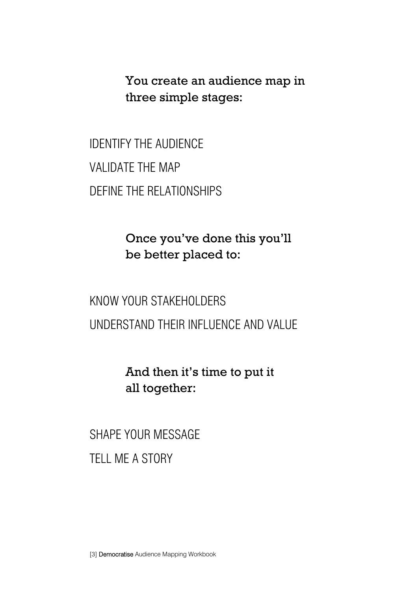You create an audience map in three simple stages:

IDENTIFY THE AUDIENCE VALIDATE THE MAP DEFINE THE RELATIONSHIPS

> Once you've done this you'll be better placed to:

KNOW YOUR STAKEHOLDERS UNDERSTAND THEIR INFLUENCE AND VALUE

> And then it's time to put it all together:

SHAPE YOUR MESSAGE TELL ME A STORY

[3] Democratise Audience Mapping Workbook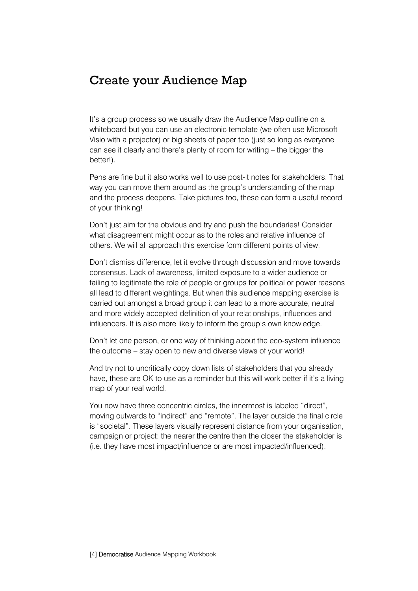#### Create your Audience Map

It's a group process so we usually draw the Audience Map outline on a whiteboard but you can use an electronic template (we often use Microsoft Visio with a projector) or big sheets of paper too (just so long as everyone can see it clearly and there's plenty of room for writing – the bigger the better!).

Pens are fine but it also works well to use post-it notes for stakeholders. That way you can move them around as the group's understanding of the map and the process deepens. Take pictures too, these can form a useful record of your thinking!

Don't just aim for the obvious and try and push the boundaries! Consider what disagreement might occur as to the roles and relative influence of others. We will all approach this exercise form different points of view.

Don't dismiss difference, let it evolve through discussion and move towards consensus. Lack of awareness, limited exposure to a wider audience or failing to legitimate the role of people or groups for political or power reasons all lead to different weightings. But when this audience mapping exercise is carried out amongst a broad group it can lead to a more accurate, neutral and more widely accepted definition of your relationships, influences and influencers. It is also more likely to inform the group's own knowledge.

Don't let one person, or one way of thinking about the eco-system influence the outcome – stay open to new and diverse views of your world!

And try not to uncritically copy down lists of stakeholders that you already have, these are OK to use as a reminder but this will work better if it's a living map of your real world.

You now have three concentric circles, the innermost is labeled "direct", moving outwards to "indirect" and "remote". The layer outside the final circle is "societal". These layers visually represent distance from your organisation, campaign or project: the nearer the centre then the closer the stakeholder is (i.e. they have most impact/influence or are most impacted/influenced).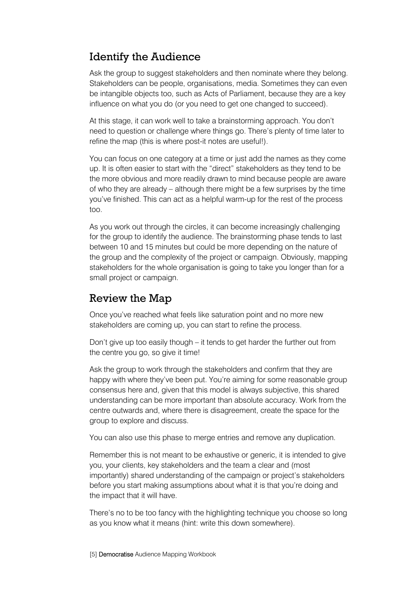#### Identify the Audience

Ask the group to suggest stakeholders and then nominate where they belong. Stakeholders can be people, organisations, media. Sometimes they can even be intangible objects too, such as Acts of Parliament, because they are a key influence on what you do (or you need to get one changed to succeed).

At this stage, it can work well to take a brainstorming approach. You don't need to question or challenge where things go. There's plenty of time later to refine the map (this is where post-it notes are useful!).

You can focus on one category at a time or just add the names as they come up. It is often easier to start with the "direct" stakeholders as they tend to be the more obvious and more readily drawn to mind because people are aware of who they are already – although there might be a few surprises by the time you've finished. This can act as a helpful warm-up for the rest of the process too.

As you work out through the circles, it can become increasingly challenging for the group to identify the audience. The brainstorming phase tends to last between 10 and 15 minutes but could be more depending on the nature of the group and the complexity of the project or campaign. Obviously, mapping stakeholders for the whole organisation is going to take you longer than for a small project or campaign.

#### Review the Map

Once you've reached what feels like saturation point and no more new stakeholders are coming up, you can start to refine the process.

Don't give up too easily though – it tends to get harder the further out from the centre you go, so give it time!

Ask the group to work through the stakeholders and confirm that they are happy with where they've been put. You're aiming for some reasonable group consensus here and, given that this model is always subjective, this shared understanding can be more important than absolute accuracy. Work from the centre outwards and, where there is disagreement, create the space for the group to explore and discuss.

You can also use this phase to merge entries and remove any duplication.

Remember this is not meant to be exhaustive or generic, it is intended to give you, your clients, key stakeholders and the team a clear and (most importantly) shared understanding of the campaign or project's stakeholders before you start making assumptions about what it is that you're doing and the impact that it will have.

There's no to be too fancy with the highlighting technique you choose so long as you know what it means (hint: write this down somewhere).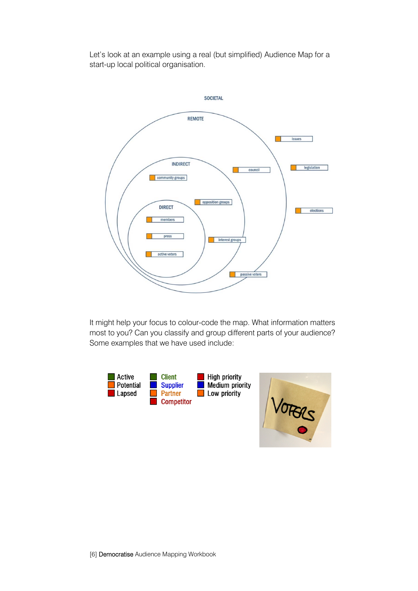Let's look at an example using a real (but simplified) Audience Map for a start-up local political organisation.



It might help your focus to colour-code the map. What information matters most to you? Can you classify and group different parts of your audience? Some examples that we have used include:



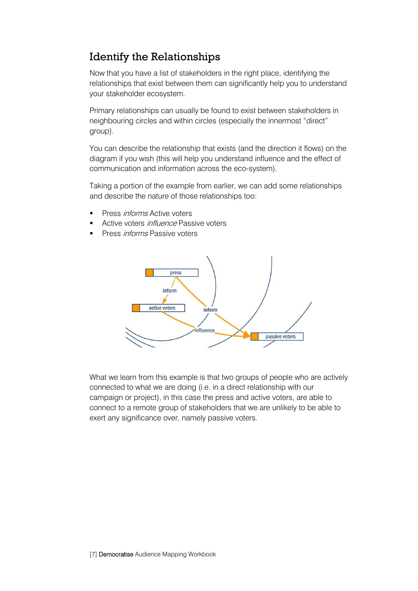#### Identify the Relationships

Now that you have a list of stakeholders in the right place, identifying the relationships that exist between them can significantly help you to understand your stakeholder ecosystem.

Primary relationships can usually be found to exist between stakeholders in neighbouring circles and within circles (especially the innermost "direct" group).

You can describe the relationship that exists (and the direction it flows) on the diagram if you wish (this will help you understand influence and the effect of communication and information across the eco-system).

Taking a portion of the example from earlier, we can add some relationships and describe the nature of those relationships too:

- Press informs Active voters
- Active voters *influence* Passive voters
- Press informs Passive voters



What we learn from this example is that two groups of people who are actively connected to what we are doing (i.e. in a direct relationship with our campaign or project), in this case the press and active voters, are able to connect to a remote group of stakeholders that we are unlikely to be able to exert any significance over, namely passive voters.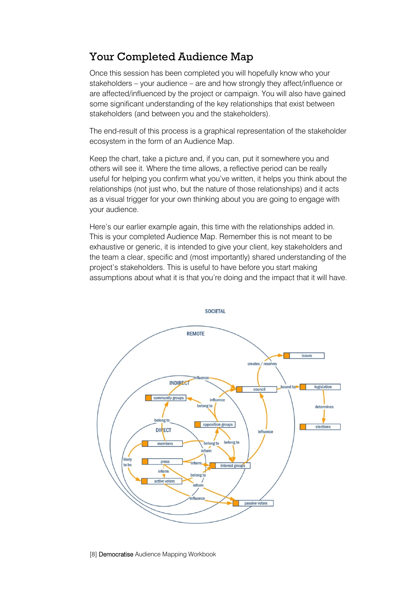#### Your Completed Audience Map

Once this session has been completed you will hopefully know who your stakeholders – your audience – are and how strongly they affect/influence or are affected/influenced by the project or campaign. You will also have gained some significant understanding of the key relationships that exist between stakeholders (and between you and the stakeholders).

The end-result of this process is a graphical representation of the stakeholder ecosystem in the form of an Audience Map.

Keep the chart, take a picture and, if you can, put it somewhere you and others will see it. Where the time allows, a reflective period can be really useful for helping you confirm what you've written, it helps you think about the relationships (not just who, but the nature of those relationships) and it acts as a visual trigger for your own thinking about you are going to engage with your audience.

Here's our earlier example again, this time with the relationships added in. This is your completed Audience Map. Remember this is not meant to be exhaustive or generic, it is intended to give your client, key stakeholders and the team a clear, specific and (most importantly) shared understanding of the project's stakeholders. This is useful to have before you start making assumptions about what it is that you're doing and the impact that it will have.

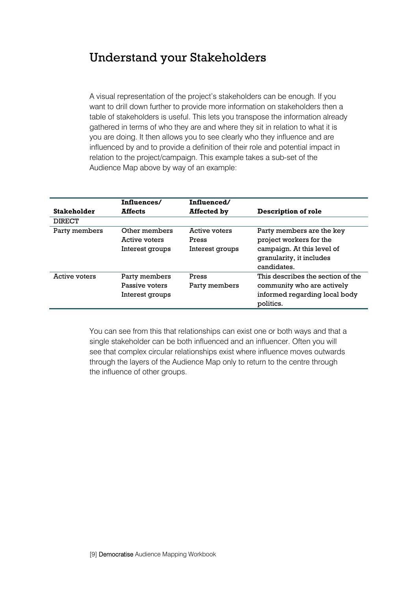#### Understand your Stakeholders

A visual representation of the project's stakeholders can be enough. If you want to drill down further to provide more information on stakeholders then a table of stakeholders is useful. This lets you transpose the information already gathered in terms of who they are and where they sit in relation to what it is you are doing. It then allows you to see clearly who they influence and are influenced by and to provide a definition of their role and potential impact in relation to the project/campaign. This example takes a sub-set of the Audience Map above by way of an example:

|                    | Influences/                                        | Influenced/                               |                                                                                                                               |
|--------------------|----------------------------------------------------|-------------------------------------------|-------------------------------------------------------------------------------------------------------------------------------|
| <b>Stakeholder</b> | <b>Affects</b>                                     | <b>Affected by</b>                        | Description of role                                                                                                           |
| <b>DIRECT</b>      |                                                    |                                           |                                                                                                                               |
| Party members      | Other members<br>Active voters<br>Interest groups  | Active voters<br>Press<br>Interest groups | Party members are the key<br>project workers for the<br>campaign. At this level of<br>granularity, it includes<br>candidates. |
| Active voters      | Party members<br>Passive voters<br>Interest groups | Press<br>Party members                    | This describes the section of the<br>community who are actively<br>informed regarding local body<br>politics.                 |

You can see from this that relationships can exist one or both ways and that a single stakeholder can be both influenced and an influencer. Often you will see that complex circular relationships exist where influence moves outwards through the layers of the Audience Map only to return to the centre through the influence of other groups.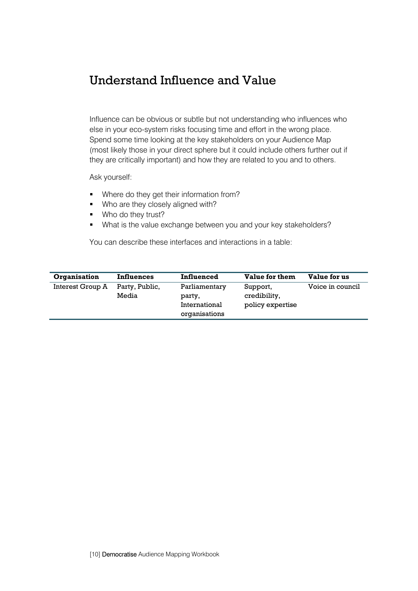#### Understand Influence and Value

Influence can be obvious or subtle but not understanding who influences who else in your eco-system risks focusing time and effort in the wrong place. Spend some time looking at the key stakeholders on your Audience Map (most likely those in your direct sphere but it could include others further out if they are critically important) and how they are related to you and to others.

Ask yourself:

- Where do they get their information from?
- Who are they closely aligned with?
- **Who do they trust?**
- What is the value exchange between you and your key stakeholders?

You can describe these interfaces and interactions in a table:

| Organisation     | <b>Influences</b>       | Influenced                                                | Value for them                               | Value for us     |
|------------------|-------------------------|-----------------------------------------------------------|----------------------------------------------|------------------|
| Interest Group A | Party, Public,<br>Media | Parliamentary<br>party,<br>International<br>organisations | Support,<br>credibility,<br>policy expertise | Voice in council |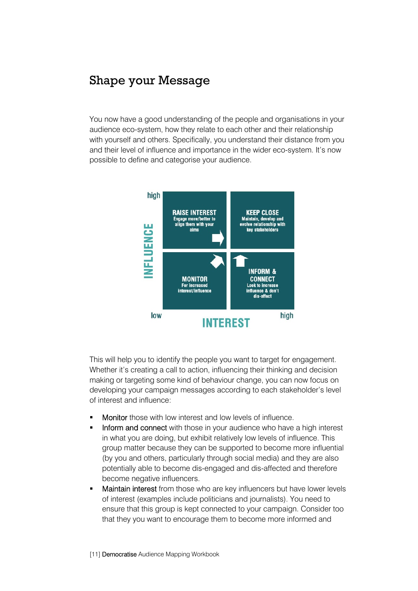#### Shape your Message

You now have a good understanding of the people and organisations in your audience eco-system, how they relate to each other and their relationship with yourself and others. Specifically, you understand their distance from you and their level of influence and importance in the wider eco-system. It's now possible to define and categorise your audience.



This will help you to identify the people you want to target for engagement. Whether it's creating a call to action, influencing their thinking and decision making or targeting some kind of behaviour change, you can now focus on developing your campaign messages according to each stakeholder's level of interest and influence:

- Monitor those with low interest and low levels of influence.
- Inform and connect with those in your audience who have a high interest in what you are doing, but exhibit relatively low levels of influence. This group matter because they can be supported to become more influential (by you and others, particularly through social media) and they are also potentially able to become dis-engaged and dis-affected and therefore become negative influencers.
- Maintain interest from those who are key influencers but have lower levels of interest (examples include politicians and journalists). You need to ensure that this group is kept connected to your campaign. Consider too that they you want to encourage them to become more informed and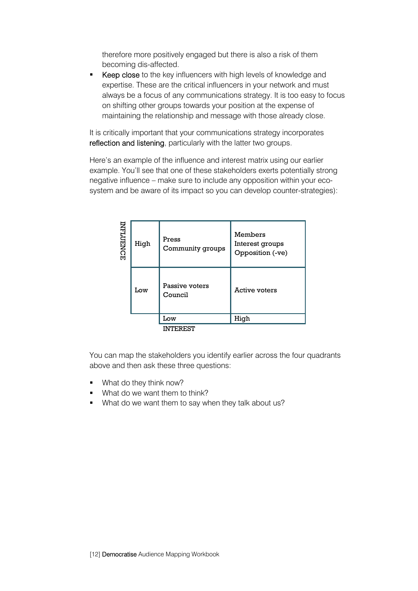therefore more positively engaged but there is also a risk of them becoming dis-affected.

Keep close to the key influencers with high levels of knowledge and expertise. These are the critical influencers in your network and must always be a focus of any communications strategy. It is too easy to focus on shifting other groups towards your position at the expense of maintaining the relationship and message with those already close.

It is critically important that your communications strategy incorporates reflection and listening, particularly with the latter two groups.

Here's an example of the influence and interest matrix using our earlier example. You'll see that one of these stakeholders exerts potentially strong negative influence – make sure to include any opposition within your ecosystem and be aware of its impact so you can develop counter-strategies):

| INFLUENCE | Press<br>High<br>Community groups |                           | Members<br>Interest groups<br>Opposition (-ve) |  |
|-----------|-----------------------------------|---------------------------|------------------------------------------------|--|
| Low       |                                   | Passive voters<br>Council | <b>Active voters</b>                           |  |
|           |                                   | Low                       | High                                           |  |
|           |                                   | INTEREST                  |                                                |  |

You can map the stakeholders you identify earlier across the four quadrants above and then ask these three questions:

- **What do they think now?**
- **What do we want them to think?**
- What do we want them to say when they talk about us?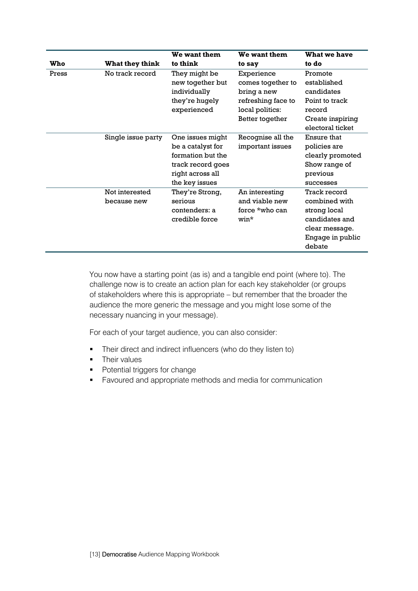|       |                               | We want them                                                                                                          | We want them                                                            | What we have                                                                                                    |
|-------|-------------------------------|-----------------------------------------------------------------------------------------------------------------------|-------------------------------------------------------------------------|-----------------------------------------------------------------------------------------------------------------|
| Who   | What they think               | to think                                                                                                              | to say                                                                  | to do                                                                                                           |
| Press | No track record               | They might be<br>new together but                                                                                     | Experience<br>comes together to                                         | Promote<br>established                                                                                          |
|       |                               | individually<br>they're hugely<br>experienced                                                                         | bring a new<br>refreshing face to<br>local politics:<br>Better together | candidates<br>Point to track<br>record<br>Create inspiring                                                      |
|       |                               |                                                                                                                       |                                                                         | electoral ticket                                                                                                |
|       | Single issue party            | One issues might<br>be a catalyst for<br>formation but the<br>track record goes<br>right across all<br>the key issues | Recognise all the<br>important issues                                   | Ensure that<br>policies are<br>clearly promoted<br>Show range of<br>previous<br>successes                       |
|       | Not interested<br>because new | They're Strong,<br>serious<br>contenders: a<br>credible force                                                         | An interesting<br>and viable new<br>force *who can<br>win*              | Track record<br>combined with<br>strong local<br>candidates and<br>clear message.<br>Engage in public<br>debate |

You now have a starting point (as is) and a tangible end point (where to). The challenge now is to create an action plan for each key stakeholder (or groups of stakeholders where this is appropriate – but remember that the broader the audience the more generic the message and you might lose some of the necessary nuancing in your message).

For each of your target audience, you can also consider:

- Their direct and indirect influencers (who do they listen to)
- **Their values**
- Potential triggers for change
- Favoured and appropriate methods and media for communication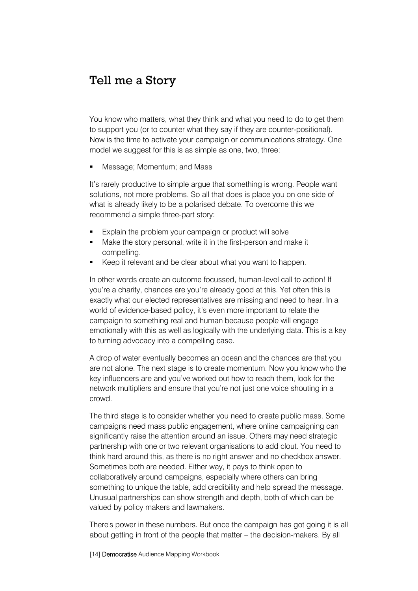#### Tell me a Story

You know who matters, what they think and what you need to do to get them to support you (or to counter what they say if they are counter-positional). Now is the time to activate your campaign or communications strategy. One model we suggest for this is as simple as one, two, three:

Message; Momentum; and Mass

It's rarely productive to simple argue that something is wrong. People want solutions, not more problems. So all that does is place you on one side of what is already likely to be a polarised debate. To overcome this we recommend a simple three-part story:

- Explain the problem your campaign or product will solve
- Make the story personal, write it in the first-person and make it compelling.
- Keep it relevant and be clear about what you want to happen.

In other words create an outcome focussed, human-level call to action! If you're a charity, chances are you're already good at this. Yet often this is exactly what our elected representatives are missing and need to hear. In a world of evidence-based policy, it's even more important to relate the campaign to something real and human because people will engage emotionally with this as well as logically with the underlying data. This is a key to turning advocacy into a compelling case.

A drop of water eventually becomes an ocean and the chances are that you are not alone. The next stage is to create momentum. Now you know who the key influencers are and you've worked out how to reach them, look for the network multipliers and ensure that you're not just one voice shouting in a crowd.

The third stage is to consider whether you need to create public mass. Some campaigns need mass public engagement, where online campaigning can significantly raise the attention around an issue. Others may need strategic partnership with one or two relevant organisations to add clout. You need to think hard around this, as there is no right answer and no checkbox answer. Sometimes both are needed. Either way, it pays to think open to collaboratively around campaigns, especially where others can bring something to unique the table, add credibility and help spread the message. Unusual partnerships can show strength and depth, both of which can be valued by policy makers and lawmakers.

There's power in these numbers. But once the campaign has got going it is all about getting in front of the people that matter – the decision-makers. By all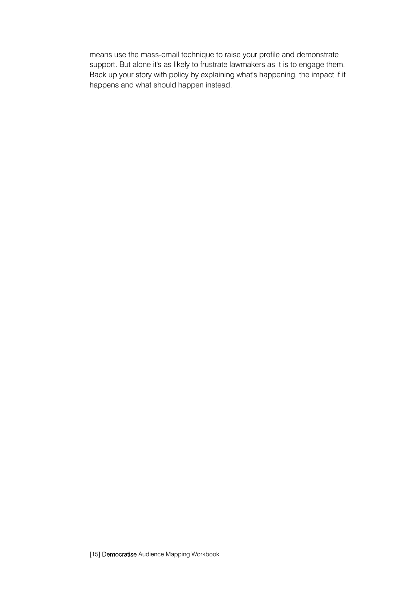means use the mass-email technique to raise your profile and demonstrate support. But alone it's as likely to frustrate lawmakers as it is to engage them. Back up your story with policy by explaining what's happening, the impact if it happens and what should happen instead.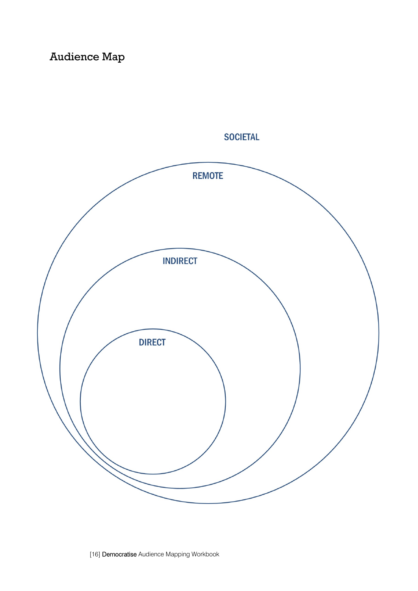### Audience Map



**SOCIETAL**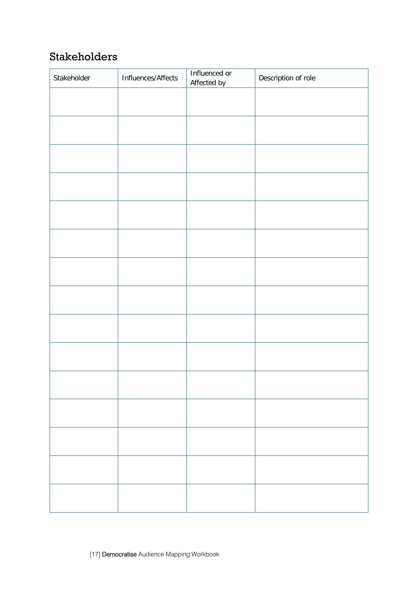#### Stakeholders

| Stakeholder | Influences/Affects | Influenced or<br>Affected by | Description of role |
|-------------|--------------------|------------------------------|---------------------|
|             |                    |                              |                     |
|             |                    |                              |                     |
|             |                    |                              |                     |
|             |                    |                              |                     |
|             |                    |                              |                     |
|             |                    |                              |                     |
|             |                    |                              |                     |
|             |                    |                              |                     |
|             |                    |                              |                     |
|             |                    |                              |                     |
|             |                    |                              |                     |
|             |                    |                              |                     |
|             |                    |                              |                     |
|             |                    |                              |                     |
|             |                    |                              |                     |
|             |                    |                              |                     |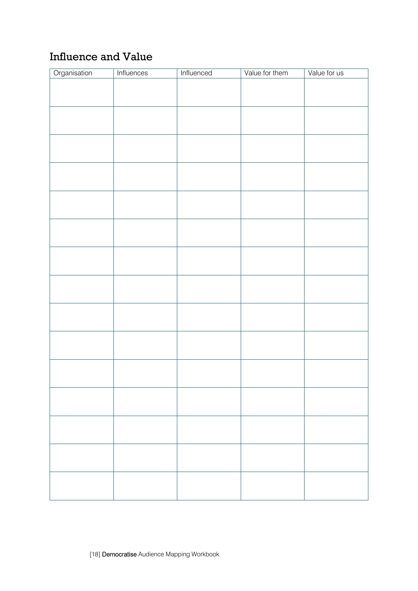#### Influence and Value

| Organisation | <b>Influences</b> | Influenced | Value for them | Value for us |
|--------------|-------------------|------------|----------------|--------------|
|              |                   |            |                |              |
|              |                   |            |                |              |
|              |                   |            |                |              |
|              |                   |            |                |              |
|              |                   |            |                |              |
|              |                   |            |                |              |
|              |                   |            |                |              |
|              |                   |            |                |              |
|              |                   |            |                |              |
|              |                   |            |                |              |
|              |                   |            |                |              |
|              |                   |            |                |              |
|              |                   |            |                |              |
|              |                   |            |                |              |
|              |                   |            |                |              |
|              |                   |            |                |              |
|              |                   |            |                |              |
|              |                   |            |                |              |
|              |                   |            |                |              |
|              |                   |            |                |              |
|              |                   |            |                |              |
|              |                   |            |                |              |
|              |                   |            |                |              |
|              |                   |            |                |              |
|              |                   |            |                |              |
|              |                   |            |                |              |
|              |                   |            |                |              |
|              |                   |            |                |              |
|              |                   |            |                |              |
|              |                   |            |                |              |
|              |                   |            |                |              |
|              |                   |            |                |              |
|              |                   |            |                |              |
|              |                   |            |                |              |
|              |                   |            |                |              |
|              |                   |            |                |              |
|              |                   |            |                |              |
|              |                   |            |                |              |
|              |                   |            |                |              |
|              |                   |            |                |              |
|              |                   |            |                |              |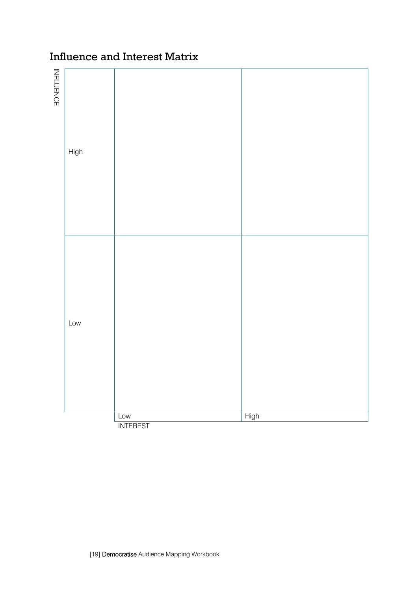#### Influence and Interest Matrix

| INFLUENCE | High |                 |      |
|-----------|------|-----------------|------|
|           | Low  | Low             | High |
|           |      | <b>INTEREST</b> |      |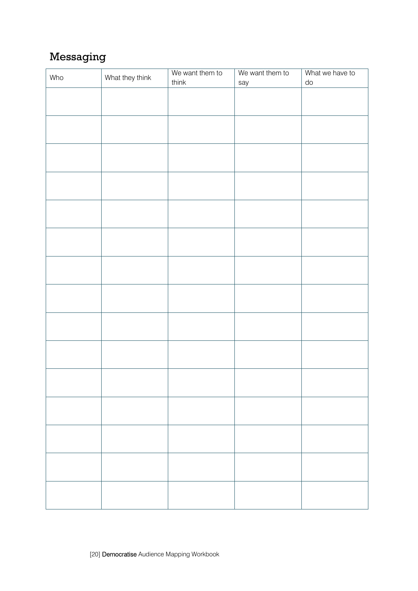#### Messaging

| Who | What they think | We want them to | We want them to | What we have to |
|-----|-----------------|-----------------|-----------------|-----------------|
|     |                 | think           | say             | do              |
|     |                 |                 |                 |                 |
|     |                 |                 |                 |                 |
|     |                 |                 |                 |                 |
|     |                 |                 |                 |                 |
|     |                 |                 |                 |                 |
|     |                 |                 |                 |                 |
|     |                 |                 |                 |                 |
|     |                 |                 |                 |                 |
|     |                 |                 |                 |                 |
|     |                 |                 |                 |                 |
|     |                 |                 |                 |                 |
|     |                 |                 |                 |                 |
|     |                 |                 |                 |                 |
|     |                 |                 |                 |                 |
|     |                 |                 |                 |                 |
|     |                 |                 |                 |                 |
|     |                 |                 |                 |                 |
|     |                 |                 |                 |                 |
|     |                 |                 |                 |                 |
|     |                 |                 |                 |                 |
|     |                 |                 |                 |                 |
|     |                 |                 |                 |                 |
|     |                 |                 |                 |                 |
|     |                 |                 |                 |                 |
|     |                 |                 |                 |                 |
|     |                 |                 |                 |                 |
|     |                 |                 |                 |                 |
|     |                 |                 |                 |                 |
|     |                 |                 |                 |                 |
|     |                 |                 |                 |                 |
|     |                 |                 |                 |                 |
|     |                 |                 |                 |                 |
|     |                 |                 |                 |                 |
|     |                 |                 |                 |                 |
|     |                 |                 |                 |                 |
|     |                 |                 |                 |                 |
|     |                 |                 |                 |                 |
|     |                 |                 |                 |                 |
|     |                 |                 |                 |                 |
|     |                 |                 |                 |                 |
|     |                 |                 |                 |                 |
|     |                 |                 |                 |                 |
|     |                 |                 |                 |                 |
|     |                 |                 |                 |                 |